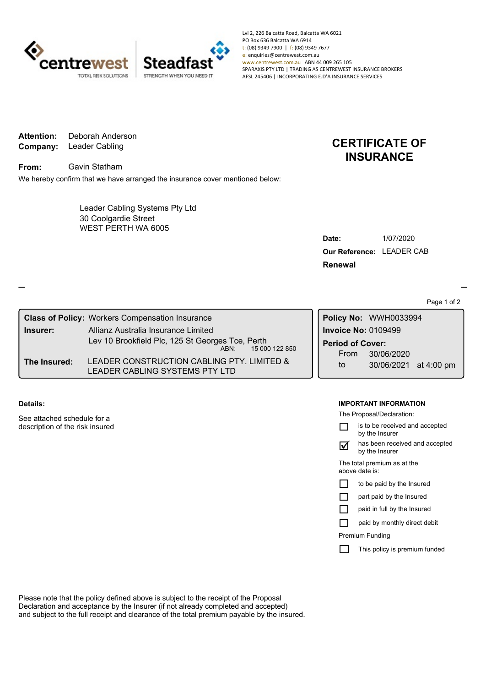

Lvl 2, 226 Balcatta Road, Balcatta WA 6021 PO Box 636 Balcatta WA 6914 t: (08) 9349 7900 | f: (08) 9349 7677 e: enquiries@centrewest.com.au www.centrewest.com.au ABN 44 009 265 105 SPARAXIS PTY LTD | TRADING AS CENTREWEST INSURANCE BROKERS AFSL 245406 | INCORPORATING E.D'A INSURANCE SERVICES

**Company:** Leader Cabling **Attention:** Deborah Anderson

**From:** Gavin Statham

We hereby confirm that we have arranged the insurance cover mentioned below:

WEST PERTH WA 6005 Leader Cabling Systems Pty Ltd 30 Coolgardie Street

## **CERTIFICATE OF INSURANCE**

| Date:                            | 1/07/2020 |
|----------------------------------|-----------|
| <b>Our Reference: LEADER CAB</b> |           |
| Renewal                          |           |

Page 1 of 2

|  |              | <b>Class of Policy: Workers Compensation Insurance</b>                                 |  |                                 | Policy No: WWH0033994 |  |  |
|--|--------------|----------------------------------------------------------------------------------------|--|---------------------------------|-----------------------|--|--|
|  | Insurer:     | Allianz Australia Insurance Limited                                                    |  | Invoice No: 0109499             |                       |  |  |
|  |              | Lev 10 Brookfield Plc, 125 St Georges Tce, Perth<br>15 000 122 850<br>ABN <sup>.</sup> |  | <b>Period of Cover:</b><br>From | 30/06/2020            |  |  |
|  | The Insured: | LEADER CONSTRUCTION CABLING PTY. LIMITED &<br>LEADER CABLING SYSTEMS PTY LTD           |  | to                              | 30/06/2021 at 4:00 pm |  |  |

**Details:**

See attached schedule for a description of the risk insured

## **IMPORTANT INFORMATION**

The Proposal/Declaration:

|     | is to be received and accepted<br>by the Insurer |
|-----|--------------------------------------------------|
| نەا | has been received and accepted<br>by the Insurer |
|     | The total premium as at the<br>above date is:    |
|     | to be paid by the Insured                        |
|     | part paid by the Insured                         |
|     | paid in full by the Insured                      |
|     | paid by monthly direct debit                     |
|     | Premium Funding                                  |
|     | This policy is premium funded                    |
|     |                                                  |

Please note that the policy defined above is subject to the receipt of the Proposal Declaration and acceptance by the Insurer (if not already completed and accepted) and subject to the full receipt and clearance of the total premium payable by the insured.